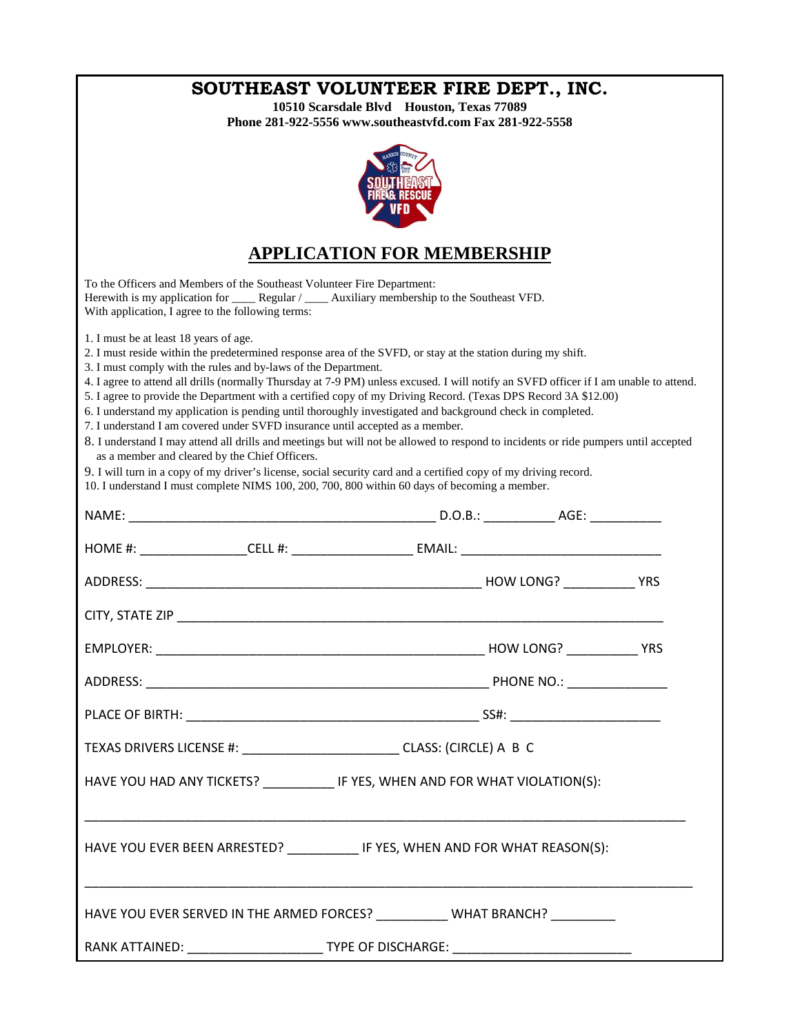| SOUTHEAST VOLUNTEER FIRE DEPT., INC.<br>10510 Scarsdale Blvd Houston, Texas 77089<br>Phone 281-922-5556 www.southeastvfd.com Fax 281-922-5558                                                                                                                                                                                                                                                                                                                                                                                                                                                                                                                                                                                                                                                                                                                                                                                                                                                                                                                                                    |                         |  |
|--------------------------------------------------------------------------------------------------------------------------------------------------------------------------------------------------------------------------------------------------------------------------------------------------------------------------------------------------------------------------------------------------------------------------------------------------------------------------------------------------------------------------------------------------------------------------------------------------------------------------------------------------------------------------------------------------------------------------------------------------------------------------------------------------------------------------------------------------------------------------------------------------------------------------------------------------------------------------------------------------------------------------------------------------------------------------------------------------|-------------------------|--|
|                                                                                                                                                                                                                                                                                                                                                                                                                                                                                                                                                                                                                                                                                                                                                                                                                                                                                                                                                                                                                                                                                                  |                         |  |
| <b>APPLICATION FOR MEMBERSHIP</b>                                                                                                                                                                                                                                                                                                                                                                                                                                                                                                                                                                                                                                                                                                                                                                                                                                                                                                                                                                                                                                                                |                         |  |
| To the Officers and Members of the Southeast Volunteer Fire Department:<br>Herewith is my application for _______ Regular / ______ Auxiliary membership to the Southeast VFD.<br>With application, I agree to the following terms:                                                                                                                                                                                                                                                                                                                                                                                                                                                                                                                                                                                                                                                                                                                                                                                                                                                               |                         |  |
| 1. I must be at least 18 years of age.<br>2. I must reside within the predetermined response area of the SVFD, or stay at the station during my shift.<br>3. I must comply with the rules and by-laws of the Department.<br>4. I agree to attend all drills (normally Thursday at 7-9 PM) unless excused. I will notify an SVFD officer if I am unable to attend.<br>5. I agree to provide the Department with a certified copy of my Driving Record. (Texas DPS Record 3A \$12.00)<br>6. I understand my application is pending until thoroughly investigated and background check in completed.<br>7. I understand I am covered under SVFD insurance until accepted as a member.<br>8. I understand I may attend all drills and meetings but will not be allowed to respond to incidents or ride pumpers until accepted<br>as a member and cleared by the Chief Officers.<br>9. I will turn in a copy of my driver's license, social security card and a certified copy of my driving record.<br>10. I understand I must complete NIMS 100, 200, 700, 800 within 60 days of becoming a member. |                         |  |
|                                                                                                                                                                                                                                                                                                                                                                                                                                                                                                                                                                                                                                                                                                                                                                                                                                                                                                                                                                                                                                                                                                  |                         |  |
| HOME #: ___________________CELL #: _________________________ EMAIL: ________________________________                                                                                                                                                                                                                                                                                                                                                                                                                                                                                                                                                                                                                                                                                                                                                                                                                                                                                                                                                                                             |                         |  |
|                                                                                                                                                                                                                                                                                                                                                                                                                                                                                                                                                                                                                                                                                                                                                                                                                                                                                                                                                                                                                                                                                                  |                         |  |
| CITY, STATE ZIP <b>EXECUTE A SERVE AND THE STATE OF A SERVE AND THE STATE OF A SERVE AND THE STATE OF A SERVE AND THE STATE OF A SERVE</b>                                                                                                                                                                                                                                                                                                                                                                                                                                                                                                                                                                                                                                                                                                                                                                                                                                                                                                                                                       |                         |  |
| <b>EMPLOYER:</b>                                                                                                                                                                                                                                                                                                                                                                                                                                                                                                                                                                                                                                                                                                                                                                                                                                                                                                                                                                                                                                                                                 | <b>YRS</b><br>HOW LONG? |  |
|                                                                                                                                                                                                                                                                                                                                                                                                                                                                                                                                                                                                                                                                                                                                                                                                                                                                                                                                                                                                                                                                                                  |                         |  |
|                                                                                                                                                                                                                                                                                                                                                                                                                                                                                                                                                                                                                                                                                                                                                                                                                                                                                                                                                                                                                                                                                                  |                         |  |
| TEXAS DRIVERS LICENSE #: _____________________________CLASS: (CIRCLE) A B C                                                                                                                                                                                                                                                                                                                                                                                                                                                                                                                                                                                                                                                                                                                                                                                                                                                                                                                                                                                                                      |                         |  |
| HAVE YOU HAD ANY TICKETS? _____________ IF YES, WHEN AND FOR WHAT VIOLATION(S):                                                                                                                                                                                                                                                                                                                                                                                                                                                                                                                                                                                                                                                                                                                                                                                                                                                                                                                                                                                                                  |                         |  |
| HAVE YOU EVER BEEN ARRESTED? ____________ IF YES, WHEN AND FOR WHAT REASON(S):                                                                                                                                                                                                                                                                                                                                                                                                                                                                                                                                                                                                                                                                                                                                                                                                                                                                                                                                                                                                                   |                         |  |
| HAVE YOU EVER SERVED IN THE ARMED FORCES? ___________ WHAT BRANCH? __________                                                                                                                                                                                                                                                                                                                                                                                                                                                                                                                                                                                                                                                                                                                                                                                                                                                                                                                                                                                                                    |                         |  |
| RANK ATTAINED: ___________________________TYPE OF DISCHARGE: ____________________                                                                                                                                                                                                                                                                                                                                                                                                                                                                                                                                                                                                                                                                                                                                                                                                                                                                                                                                                                                                                |                         |  |